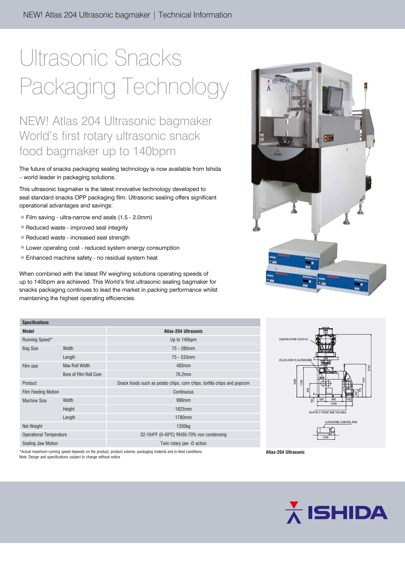# Ultrasonic Snacks Packaging Technology

### NEW! Atlas 204 Ultrasonic bagmaker World's first rotary ultrasonic snack food bagmaker up to 140bpm

The future of snacks packaging sealing technology is now available from Ishida – world leader in packaging solutions.

This ultrasonic bagmaker is the latest innovative technology developed to seal standard snacks OPP packaging film. Ultrasonic sealing offers significant operational advantages and savings:

- • Film saving ultra-narrow end seals (1.5 2.0mm)
- Reduced waste improved seal integrity
- Reduced waste increased seal strength
- • Lower operating cost reduced system energy consumption
- Enhanced machine safety no residual system heat

When combined with the latest RV weighing solutions operating speeds of up to 140bpm are achieved. This World's first ultrasonic sealing bagmaker for snacks packaging continues to lead the market in packing performance whilst maintaining the highest operating efficiencies.

| <b>Specifications</b>                                                                                             |                        |                                                                          |
|-------------------------------------------------------------------------------------------------------------------|------------------------|--------------------------------------------------------------------------|
| <b>Model</b>                                                                                                      |                        | Atlas-204 Ultrasonic                                                     |
| Running Speed*                                                                                                    |                        | Up to 140bpm                                                             |
| <b>Bag Size</b>                                                                                                   | Width                  | 75 - 280mm                                                               |
|                                                                                                                   | Length                 | 75 - 533mm                                                               |
| Film size                                                                                                         | Max Roll Width         | 483mm                                                                    |
|                                                                                                                   | Bore of Film Roll Core | 76.2mm                                                                   |
| Product                                                                                                           |                        | Snack foods such as potato chips, corn chips, tortilla chips and popcorn |
| <b>Film Feeding Motion</b>                                                                                        |                        | Continuous                                                               |
| <b>Machine Size</b>                                                                                               | <b>Width</b>           | 990mm                                                                    |
|                                                                                                                   | Height                 | 1825mm                                                                   |
|                                                                                                                   | Length                 | 1780mm                                                                   |
| Net Weight                                                                                                        |                        | 1200 <sub>kg</sub>                                                       |
| <b>Operational Temperature</b>                                                                                    |                        | 32-104ºF (0-40°C) RH30-70% non condensing                                |
| Sealing Jaw Motion                                                                                                |                        | Twin rotary jaw -D action                                                |
| A A DE DE 2008 DE 2008 EN 2008 EN 2008 EN 2008 EN 2008 DE 2018 EN 2018 EN 2018 EN 2018 EN 2018 EN 2018 EN 2018 EN |                        |                                                                          |





mning speed depends on the product, product volume, packaging material and in-feed conditions Note: Design and specifications subject to change without notice